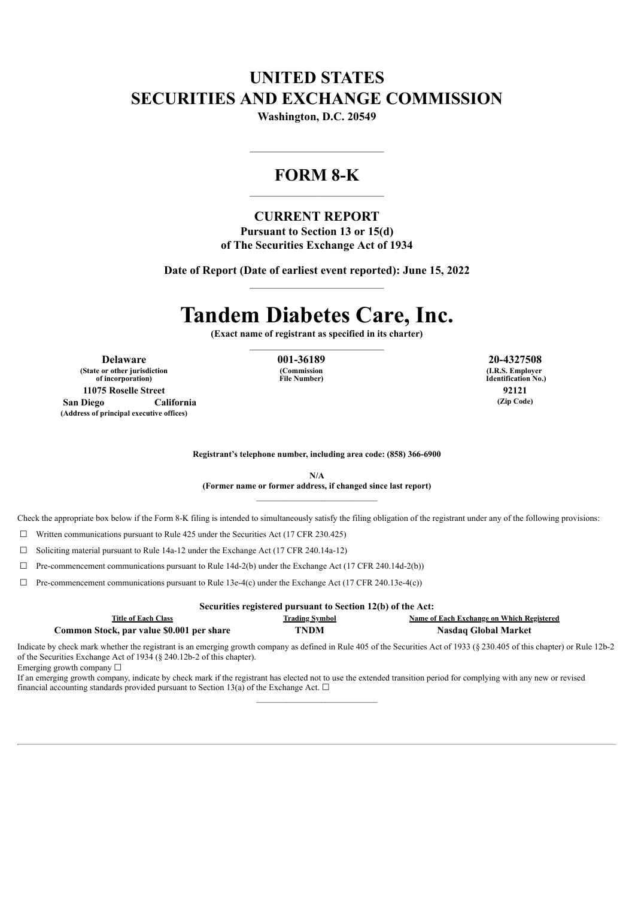# **UNITED STATES SECURITIES AND EXCHANGE COMMISSION**

**Washington, D.C. 20549**

# **FORM 8-K**  $\mathcal{L}_\text{max}$

**CURRENT REPORT Pursuant to Section 13 or 15(d)**

**of The Securities Exchange Act of 1934**

**Date of Report (Date of earliest event reported): June 15, 2022**

# **Tandem Diabetes Care, Inc.**

**(Exact name of registrant as specified in its charter)** \_\_\_\_\_\_\_\_\_\_\_\_\_\_\_\_\_\_\_\_\_\_\_\_\_\_\_\_

**Delaware 001-36189 20-4327508 (State or other jurisdiction of incorporation) 11075 Roselle Street 92121 San Diego California (Zip Code) (Address of principal executive offices)**

**(Commission File Number)**

**(I.R.S. Employer Identification No.)**

**Registrant's telephone number, including area code: (858) 366-6900**

**N/A (Former name or former address, if changed since last report)**

Check the appropriate box below if the Form 8-K filing is intended to simultaneously satisfy the filing obligation of the registrant under any of the following provisions:

 $\Box$  Written communications pursuant to Rule 425 under the Securities Act (17 CFR 230.425)

 $\Box$  Soliciting material pursuant to Rule 14a-12 under the Exchange Act (17 CFR 240.14a-12)

 $\Box$  Pre-commencement communications pursuant to Rule 14d-2(b) under the Exchange Act (17 CFR 240.14d-2(b))

 $\Box$  Pre-commencement communications pursuant to Rule 13e-4(c) under the Exchange Act (17 CFR 240.13e-4(c))

| Securities registered pursuant to Section 12(b) of the Act: |                       |                                                  |
|-------------------------------------------------------------|-----------------------|--------------------------------------------------|
| <b>Title of Each Class</b>                                  | <b>Trading Symbol</b> | <b>Name of Each Exchange on Which Registered</b> |
| Common Stock, par value \$0.001 per share                   | TNDM                  | Nasdaq Global Market                             |

Indicate by check mark whether the registrant is an emerging growth company as defined in Rule 405 of the Securities Act of 1933 (§ 230.405 of this chapter) or Rule 12b-2 of the Securities Exchange Act of 1934 (§ 240.12b-2 of this chapter). Emerging growth company  $\Box$ 

If an emerging growth company, indicate by check mark if the registrant has elected not to use the extended transition period for complying with any new or revised financial accounting standards provided pursuant to Section 13(a) of the Exchange Act.  $\Box$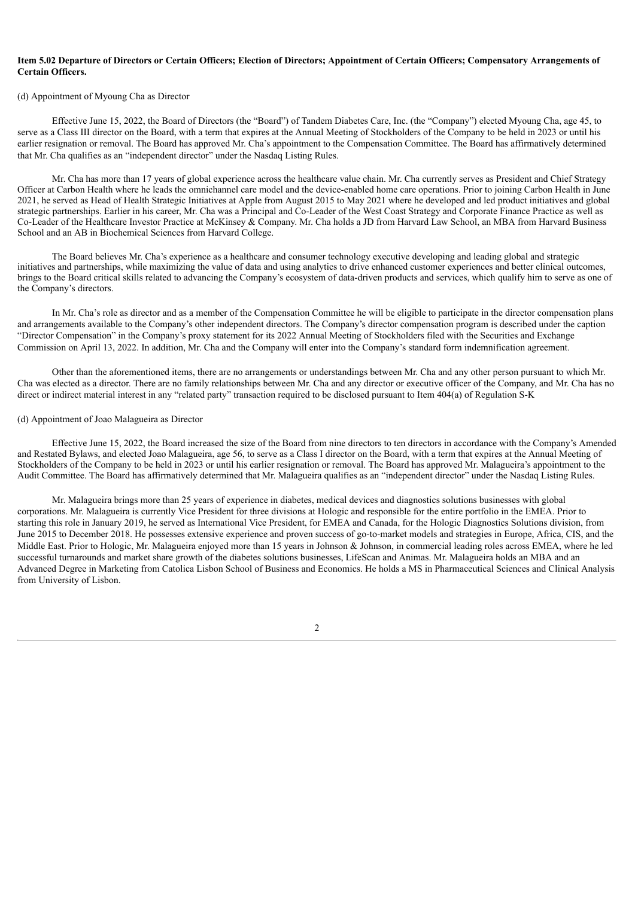#### Item 5.02 Departure of Directors or Certain Officers; Election of Directors; Appointment of Certain Officers; Compensatory Arrangements of **Certain Officers.**

#### (d) Appointment of Myoung Cha as Director

Effective June 15, 2022, the Board of Directors (the "Board") of Tandem Diabetes Care, Inc. (the "Company") elected Myoung Cha, age 45, to serve as a Class III director on the Board, with a term that expires at the Annual Meeting of Stockholders of the Company to be held in 2023 or until his earlier resignation or removal. The Board has approved Mr. Cha's appointment to the Compensation Committee. The Board has affirmatively determined that Mr. Cha qualifies as an "independent director" under the Nasdaq Listing Rules.

Mr. Cha has more than 17 years of global experience across the healthcare value chain. Mr. Cha currently serves as President and Chief Strategy Officer at Carbon Health where he leads the omnichannel care model and the device-enabled home care operations. Prior to joining Carbon Health in June 2021, he served as Head of Health Strategic Initiatives at Apple from August 2015 to May 2021 where he developed and led product initiatives and global strategic partnerships. Earlier in his career, Mr. Cha was a Principal and Co-Leader of the West Coast Strategy and Corporate Finance Practice as well as Co-Leader of the Healthcare Investor Practice at McKinsey & Company. Mr. Cha holds a JD from Harvard Law School, an MBA from Harvard Business School and an AB in Biochemical Sciences from Harvard College.

The Board believes Mr. Cha's experience as a healthcare and consumer technology executive developing and leading global and strategic initiatives and partnerships, while maximizing the value of data and using analytics to drive enhanced customer experiences and better clinical outcomes, brings to the Board critical skills related to advancing the Company's ecosystem of data-driven products and services, which qualify him to serve as one of the Company's directors.

In Mr. Cha's role as director and as a member of the Compensation Committee he will be eligible to participate in the director compensation plans and arrangements available to the Company's other independent directors. The Company's director compensation program is described under the caption "Director Compensation" in the Company's proxy statement for its 2022 Annual Meeting of Stockholders filed with the Securities and Exchange Commission on April 13, 2022. In addition, Mr. Cha and the Company will enter into the Company's standard form indemnification agreement.

Other than the aforementioned items, there are no arrangements or understandings between Mr. Cha and any other person pursuant to which Mr. Cha was elected as a director. There are no family relationships between Mr. Cha and any director or executive officer of the Company, and Mr. Cha has no direct or indirect material interest in any "related party" transaction required to be disclosed pursuant to Item 404(a) of Regulation S-K

#### (d) Appointment of Joao Malagueira as Director

Effective June 15, 2022, the Board increased the size of the Board from nine directors to ten directors in accordance with the Company's Amended and Restated Bylaws, and elected Joao Malagueira, age 56, to serve as a Class I director on the Board, with a term that expires at the Annual Meeting of Stockholders of the Company to be held in 2023 or until his earlier resignation or removal. The Board has approved Mr. Malagueira's appointment to the Audit Committee. The Board has affirmatively determined that Mr. Malagueira qualifies as an "independent director" under the Nasdaq Listing Rules.

Mr. Malagueira brings more than 25 years of experience in diabetes, medical devices and diagnostics solutions businesses with global corporations. Mr. Malagueira is currently Vice President for three divisions at Hologic and responsible for the entire portfolio in the EMEA. Prior to starting this role in January 2019, he served as International Vice President, for EMEA and Canada, for the Hologic Diagnostics Solutions division, from June 2015 to December 2018. He possesses extensive experience and proven success of go-to-market models and strategies in Europe, Africa, CIS, and the Middle East. Prior to Hologic, Mr. Malagueira enjoyed more than 15 years in Johnson & Johnson, in commercial leading roles across EMEA, where he led successful turnarounds and market share growth of the diabetes solutions businesses, LifeScan and Animas. Mr. Malagueira holds an MBA and an Advanced Degree in Marketing from Catolica Lisbon School of Business and Economics. He holds a MS in Pharmaceutical Sciences and Clinical Analysis from University of Lisbon.

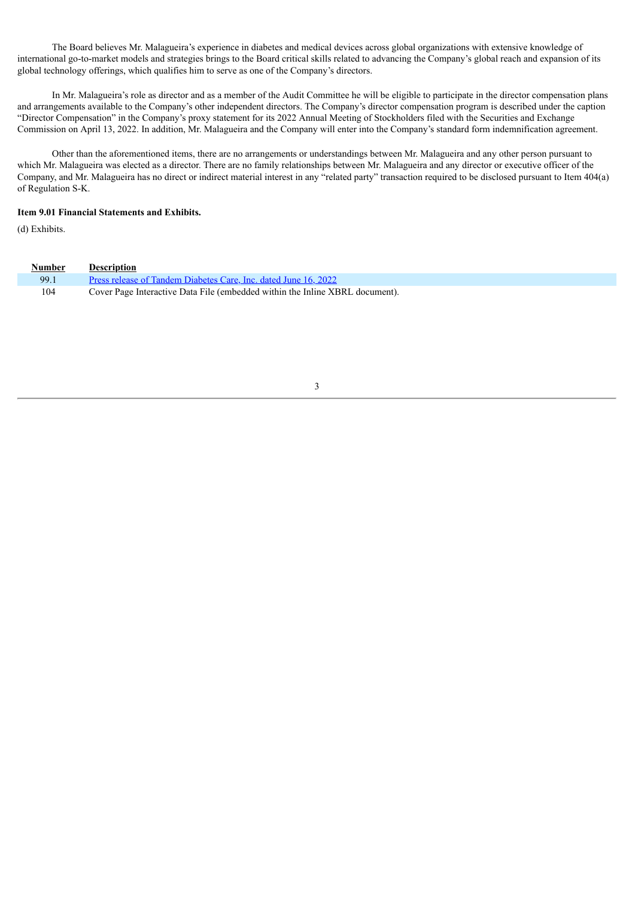The Board believes Mr. Malagueira's experience in diabetes and medical devices across global organizations with extensive knowledge of international go-to-market models and strategies brings to the Board critical skills related to advancing the Company's global reach and expansion of its global technology offerings, which qualifies him to serve as one of the Company's directors.

In Mr. Malagueira's role as director and as a member of the Audit Committee he will be eligible to participate in the director compensation plans and arrangements available to the Company's other independent directors. The Company's director compensation program is described under the caption "Director Compensation" in the Company's proxy statement for its 2022 Annual Meeting of Stockholders filed with the Securities and Exchange Commission on April 13, 2022. In addition, Mr. Malagueira and the Company will enter into the Company's standard form indemnification agreement.

Other than the aforementioned items, there are no arrangements or understandings between Mr. Malagueira and any other person pursuant to which Mr. Malagueira was elected as a director. There are no family relationships between Mr. Malagueira and any director or executive officer of the Company, and Mr. Malagueira has no direct or indirect material interest in any "related party" transaction required to be disclosed pursuant to Item 404(a) of Regulation S-K.

#### **Item 9.01 Financial Statements and Exhibits.**

(d) Exhibits.

| <u>Number</u> | <b>Description</b>                                                           |
|---------------|------------------------------------------------------------------------------|
| 99.1          | Press release of Tandem Diabetes Care, Inc. dated June 16, 2022              |
| 104           | Cover Page Interactive Data File (embedded within the Inline XBRL document). |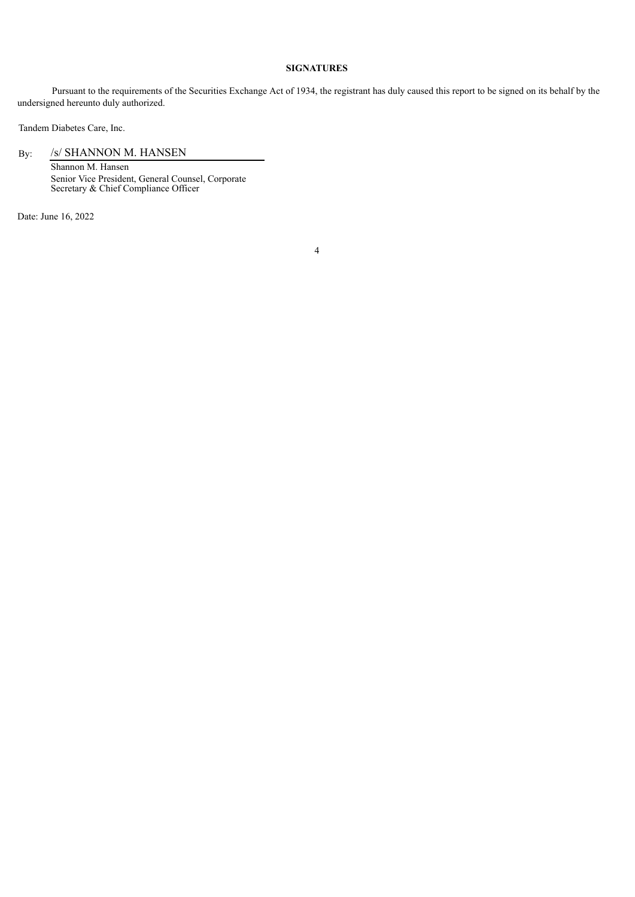### **SIGNATURES**

Pursuant to the requirements of the Securities Exchange Act of 1934, the registrant has duly caused this report to be signed on its behalf by the undersigned hereunto duly authorized.

Tandem Diabetes Care, Inc.

By: /s/ SHANNON M. HANSEN

Shannon M. Hansen Senior Vice President, General Counsel, Corporate Secretary & Chief Compliance Officer

Date: June 16, 2022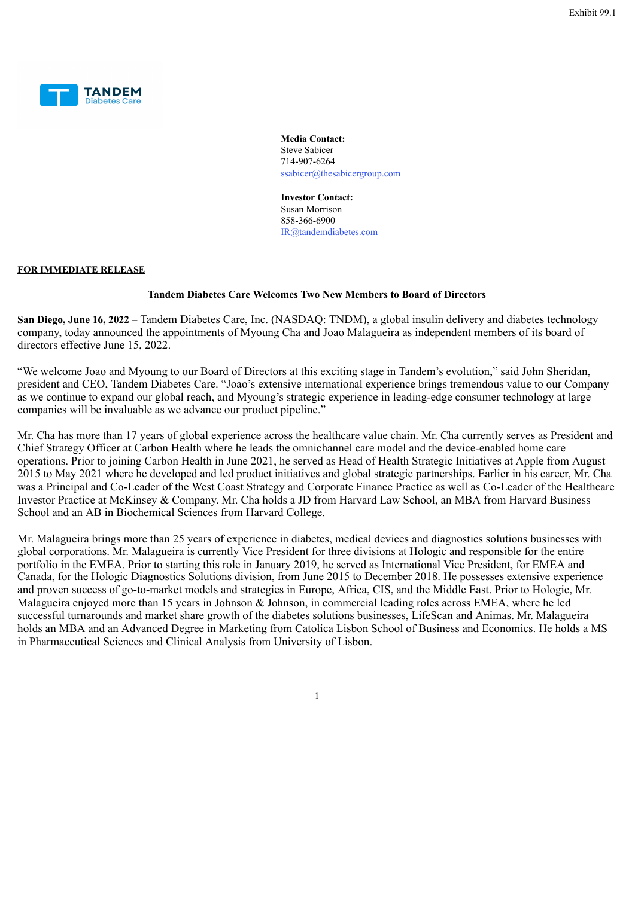<span id="page-4-0"></span>

**Media Contact:** Steve Sabicer 714-907-6264 ssabicer@thesabicergroup.com

**Investor Contact:** Susan Morrison 858-366-6900 IR@tandemdiabetes.com

#### **FOR IMMEDIATE RELEASE**

#### **Tandem Diabetes Care Welcomes Two New Members to Board of Directors**

**San Diego, June 16, 2022** – Tandem Diabetes Care, Inc. (NASDAQ: TNDM), a global insulin delivery and diabetes technology company, today announced the appointments of Myoung Cha and Joao Malagueira as independent members of its board of directors effective June 15, 2022.

"We welcome Joao and Myoung to our Board of Directors at this exciting stage in Tandem's evolution," said John Sheridan, president and CEO, Tandem Diabetes Care. "Joao's extensive international experience brings tremendous value to our Company as we continue to expand our global reach, and Myoung's strategic experience in leading-edge consumer technology at large companies will be invaluable as we advance our product pipeline."

Mr. Cha has more than 17 years of global experience across the healthcare value chain. Mr. Cha currently serves as President and Chief Strategy Officer at Carbon Health where he leads the omnichannel care model and the device-enabled home care operations. Prior to joining Carbon Health in June 2021, he served as Head of Health Strategic Initiatives at Apple from August 2015 to May 2021 where he developed and led product initiatives and global strategic partnerships. Earlier in his career, Mr. Cha was a Principal and Co-Leader of the West Coast Strategy and Corporate Finance Practice as well as Co-Leader of the Healthcare Investor Practice at McKinsey & Company. Mr. Cha holds a JD from Harvard Law School, an MBA from Harvard Business School and an AB in Biochemical Sciences from Harvard College.

Mr. Malagueira brings more than 25 years of experience in diabetes, medical devices and diagnostics solutions businesses with global corporations. Mr. Malagueira is currently Vice President for three divisions at Hologic and responsible for the entire portfolio in the EMEA. Prior to starting this role in January 2019, he served as International Vice President, for EMEA and Canada, for the Hologic Diagnostics Solutions division, from June 2015 to December 2018. He possesses extensive experience and proven success of go-to-market models and strategies in Europe, Africa, CIS, and the Middle East. Prior to Hologic, Mr. Malagueira enjoyed more than 15 years in Johnson & Johnson, in commercial leading roles across EMEA, where he led successful turnarounds and market share growth of the diabetes solutions businesses, LifeScan and Animas. Mr. Malagueira holds an MBA and an Advanced Degree in Marketing from Catolica Lisbon School of Business and Economics. He holds a MS in Pharmaceutical Sciences and Clinical Analysis from University of Lisbon.